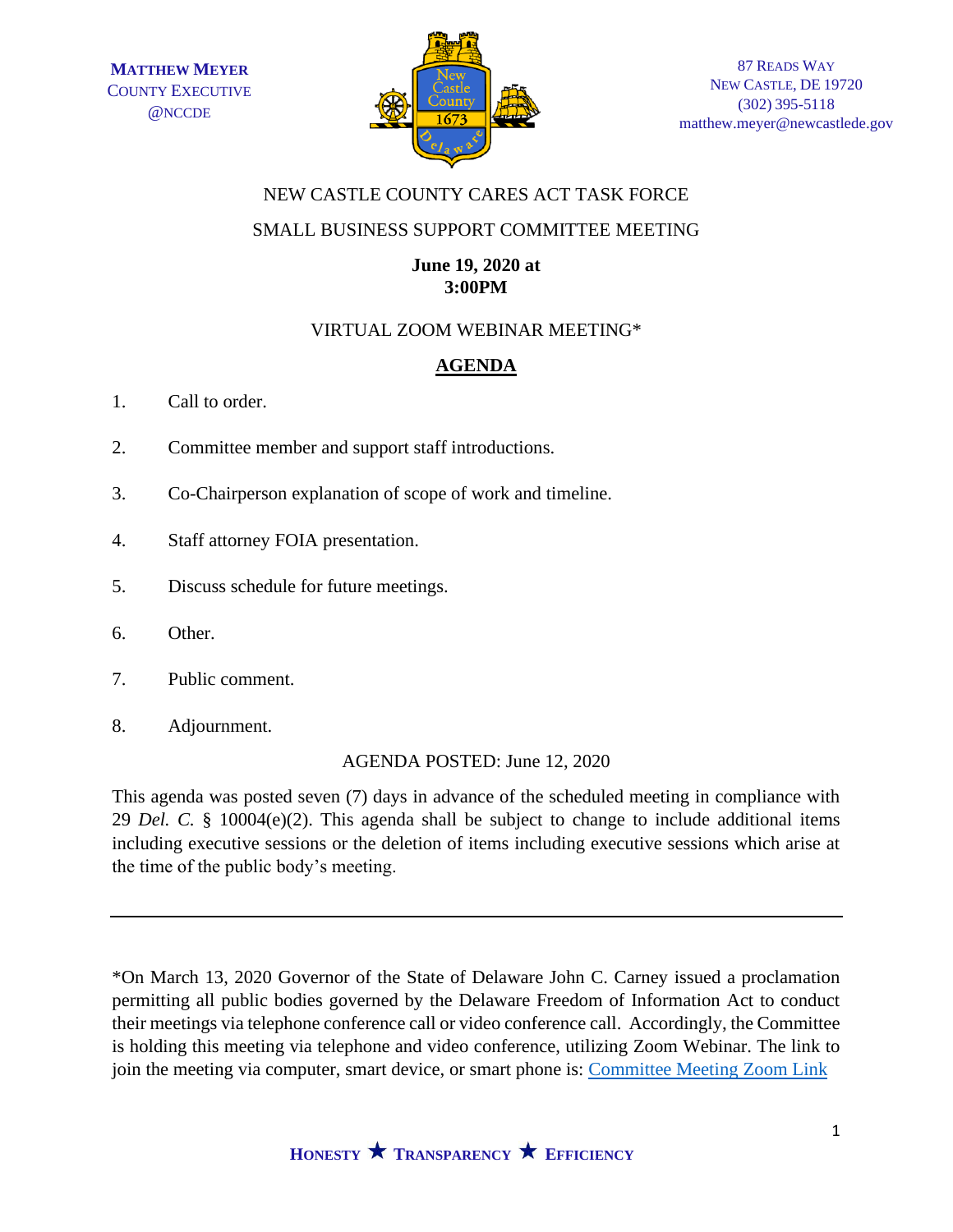

### NEW CASTLE COUNTY CARES ACT TASK FORCE

## SMALL BUSINESS SUPPORT COMMITTEE MEETING

### **June 19, 2020 at 3:00PM**

# VIRTUAL ZOOM WEBINAR MEETING\*

# **AGENDA**

- 1. Call to order.
- 2. Committee member and support staff introductions.
- 3. Co-Chairperson explanation of scope of work and timeline.
- 4. Staff attorney FOIA presentation.
- 5. Discuss schedule for future meetings.
- 6. Other.
- 7. Public comment.
- 8. Adjournment.

AGENDA POSTED: June 12, 2020

This agenda was posted seven (7) days in advance of the scheduled meeting in compliance with 29 *Del. C.* § 10004(e)(2). This agenda shall be subject to change to include additional items including executive sessions or the deletion of items including executive sessions which arise at the time of the public body's meeting.

\*On March 13, 2020 Governor of the State of Delaware John C. Carney issued a proclamation permitting all public bodies governed by the Delaware Freedom of Information Act to conduct their meetings via telephone conference call or video conference call. Accordingly, the Committee is holding this meeting via telephone and video conference, utilizing Zoom Webinar. The link to join the meeting via computer, smart device, or smart phone is: [Committee Meeting Zoom Link](https://us02web.zoom.us/j/85961853836?pwd=Nkx2SVcwYW10RXliMTZJOWp1Z2NIZz09)